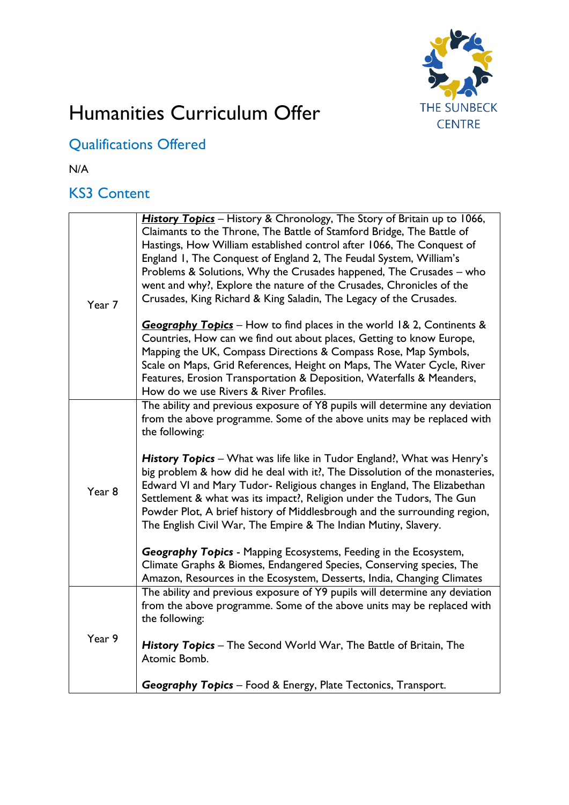

## Humanities Curriculum Offer

## Qualifications Offered

N/A

## KS3 Content

| Year 7 | History Topics - History & Chronology, The Story of Britain up to 1066,<br>Claimants to the Throne, The Battle of Stamford Bridge, The Battle of<br>Hastings, How William established control after 1066, The Conquest of<br>England I, The Conquest of England 2, The Feudal System, William's<br>Problems & Solutions, Why the Crusades happened, The Crusades - who<br>went and why?, Explore the nature of the Crusades, Chronicles of the<br>Crusades, King Richard & King Saladin, The Legacy of the Crusades. |
|--------|----------------------------------------------------------------------------------------------------------------------------------------------------------------------------------------------------------------------------------------------------------------------------------------------------------------------------------------------------------------------------------------------------------------------------------------------------------------------------------------------------------------------|
|        | <b>Geography Topics</b> – How to find places in the world 1& 2, Continents &<br>Countries, How can we find out about places, Getting to know Europe,                                                                                                                                                                                                                                                                                                                                                                 |
|        | Mapping the UK, Compass Directions & Compass Rose, Map Symbols,<br>Scale on Maps, Grid References, Height on Maps, The Water Cycle, River<br>Features, Erosion Transportation & Deposition, Waterfalls & Meanders,<br>How do we use Rivers & River Profiles.                                                                                                                                                                                                                                                         |
|        | The ability and previous exposure of Y8 pupils will determine any deviation<br>from the above programme. Some of the above units may be replaced with                                                                                                                                                                                                                                                                                                                                                                |
| Year 8 | the following:                                                                                                                                                                                                                                                                                                                                                                                                                                                                                                       |
|        | History Topics - What was life like in Tudor England?, What was Henry's<br>big problem & how did he deal with it?, The Dissolution of the monasteries,<br>Edward VI and Mary Tudor- Religious changes in England, The Elizabethan<br>Settlement & what was its impact?, Religion under the Tudors, The Gun<br>Powder Plot, A brief history of Middlesbrough and the surrounding region,<br>The English Civil War, The Empire & The Indian Mutiny, Slavery.                                                           |
|        | Geography Topics - Mapping Ecosystems, Feeding in the Ecosystem,<br>Climate Graphs & Biomes, Endangered Species, Conserving species, The<br>Amazon, Resources in the Ecosystem, Desserts, India, Changing Climates                                                                                                                                                                                                                                                                                                   |
| Year 9 | The ability and previous exposure of Y9 pupils will determine any deviation<br>from the above programme. Some of the above units may be replaced with<br>the following:                                                                                                                                                                                                                                                                                                                                              |
|        | History Topics - The Second World War, The Battle of Britain, The<br>Atomic Bomb.                                                                                                                                                                                                                                                                                                                                                                                                                                    |
|        | Geography Topics - Food & Energy, Plate Tectonics, Transport.                                                                                                                                                                                                                                                                                                                                                                                                                                                        |